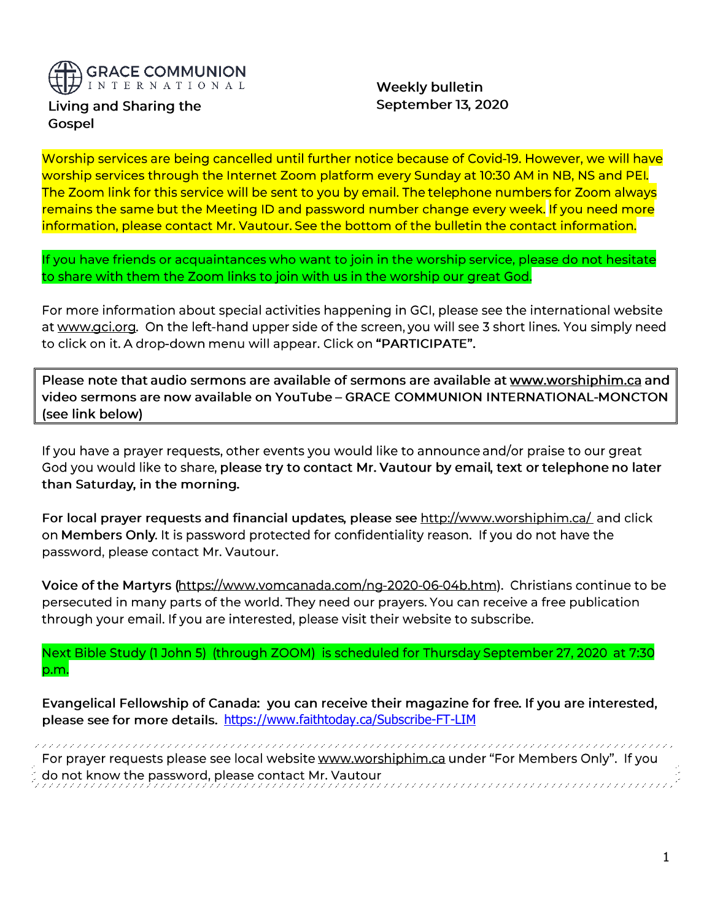

Living and Sharing the Gospel

**Weekly bulletin** September 13, 2020

Worship services are being cancelled until further notice because of Covid-19. However, we will have worship services through the Internet Zoom platform every Sunday at 10:30 AM in NB, NS and PEI. The Zoom link for this service will be sent to you by email. The telephone numbers for Zoom always remains the same but the Meeting ID and password number change every week. If you need more information, please contact Mr. Vautour. See the bottom of the bulletin the contact information.

If you have friends or acquaintances who want to join in the worship service, please do not hesitate to share with them the Zoom links to join with us in the worship our great God.

For more information about special activities happening in GCI, please see the international website at www.gci.org. On the left-hand upper side of the screen, you will see 3 short lines. You simply need to click on it. A drop-down menu will appear. Click on "PARTICIPATE".

Please note that audio sermons are available of sermons are available at www.worshiphim.ca and video sermons are now available on YouTube - GRACE COMMUNION INTERNATIONAL-MONCTON (see link below)

If you have a prayer requests, other events you would like to announce and/or praise to our great God you would like to share, please try to contact Mr. Vautour by email, text or telephone no later than Saturday, in the morning.

For local prayer requests and financial updates, please see http://www.worshiphim.ca/ and click on Members Only. It is password protected for confidentiality reason. If you do not have the password, please contact Mr. Vautour.

Voice of the Martyrs (https://www.yomcanada.com/ng-2020-06-04b.htm). Christians continue to be persecuted in many parts of the world. They need our prayers. You can receive a free publication through your email. If you are interested, please visit their website to subscribe.

Next Bible Study (1 John 5) (through ZOOM) is scheduled for Thursday September 27, 2020 at 7:30 p.m.

Evangelical Fellowship of Canada: you can receive their magazine for free. If you are interested, please see for more details. https://www.faithtoday.ca/Subscribe-FT-LIM

For prayer requests please see local website www.worshiphim.ca under "For Members Only". If you do not know the password, please contact Mr. Vautour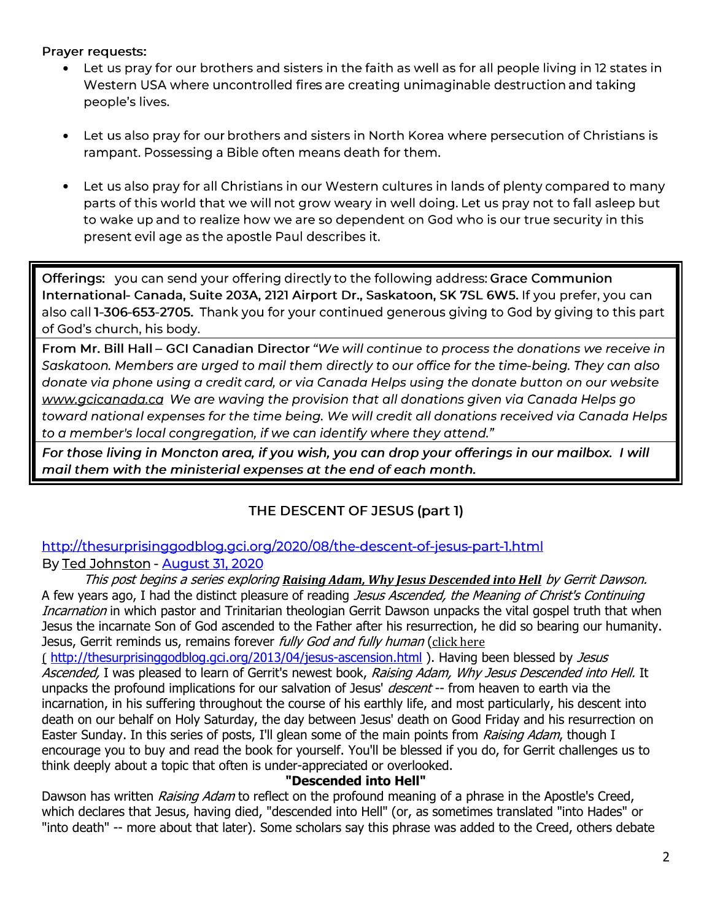Prayer requests:

- Let us pray for our brothers and sisters in the faith as well as for all people living in 12 states in • Western USA where uncontrolled fires are creating unimaginable destruction and taking people's lives.
- Let us also pray for our brothers and sisters in North Korea where persecution of Christians is • rampant. Possessing a Bible often means death for them.
- Let us also pray for all Christians in our Western cultures in lands of plenty compared to many • parts of this world that we will not grow weary in well doing. Let us pray not to fall asleep but to wake up and to realize how we are so dependent on God who is our true security in this present evil age as the apostle Paul describes it.

Offerings: you can send your offering directly to the following address: Grace Communion International- Canada, Suite 203A, 2121 Airport Dr., Saskatoon, SK 7SL 6W5. If you prefer, you can also call 1-306-653-2705. Thank you for your continued generous giving to God by giving to this part of God's church, his body.

From Mr. Bill Hall - GCI Canadian Director "We will continue to process the donations we receive in Saskatoon. Members are urged to mail them directly to our office for the time-being. They can also donate via phone using a credit card, or via Canada Helps using the donate button on our website www.acicanada.ca We are waving the provision that all donations given via Canada Helps go toward national expenses for the time being. We will credit all donations received via Canada Helps to a member's local congregation, if we can identify where they attend."

For those living in Moncton area, if you wish, you can drop your offerings in our mailbox. I will mail them with the ministerial expenses at the end of each month.

# THE DESCENT OF JESUS (part 1)

http://thesurprisinggodblog.gci.org/2020/08/the-descent-of-jesus-part-1.html By Ted Johnston - August 31, 2020

This post begins a series exploring *[Raising Adam, Why Jesus Descended into Hell](https://www.amazon.com/Raising-Adam-Jesus-Descended-Into/dp/0988491656)* by Gerrit Dawson. A few years ago, I had the distinct pleasure of reading *Jesus Ascended, the Meaning of Christ's Continuing* Incarnation in which pastor and Trinitarian theologian Gerrit Dawson unpacks the vital gospel truth that when Jesus the incarnate Son of God ascended to the Father after his resurrection, he did so bearing our humanity. Jesus, Gerrit reminds us, remains forever *fully God and fully human* ([click here](http://thesurprisinggodblog.gci.org/2013/04/jesus-ascension.html)

( <http://thesurprisinggodblog.gci.org/2013/04/jesus-ascension.html> ). Having been blessed by Jesus Ascended, I was pleased to learn of Gerrit's newest book, Raising Adam, Why Jesus Descended into Hell. It unpacks the profound implications for our salvation of Jesus' *descent* -- from heaven to earth via the incarnation, in his suffering throughout the course of his earthly life, and most particularly, his descent into death on our behalf on Holy Saturday, the day between Jesus' death on Good Friday and his resurrection on Easter Sunday. In this series of posts, I'll glean some of the main points from *Raising Adam*, though I encourage you to buy and read the book for yourself. You'll be blessed if you do, for Gerrit challenges us to think deeply about a topic that often is under-appreciated or overlooked.

## **"Descended into Hell"**

Dawson has written *Raising Adam* to reflect on the profound meaning of a phrase in the Apostle's Creed, which declares that Jesus, having died, "descended into Hell" (or, as sometimes translated "into Hades" or "into death" -- more about that later). Some scholars say this phrase was added to the Creed, others debate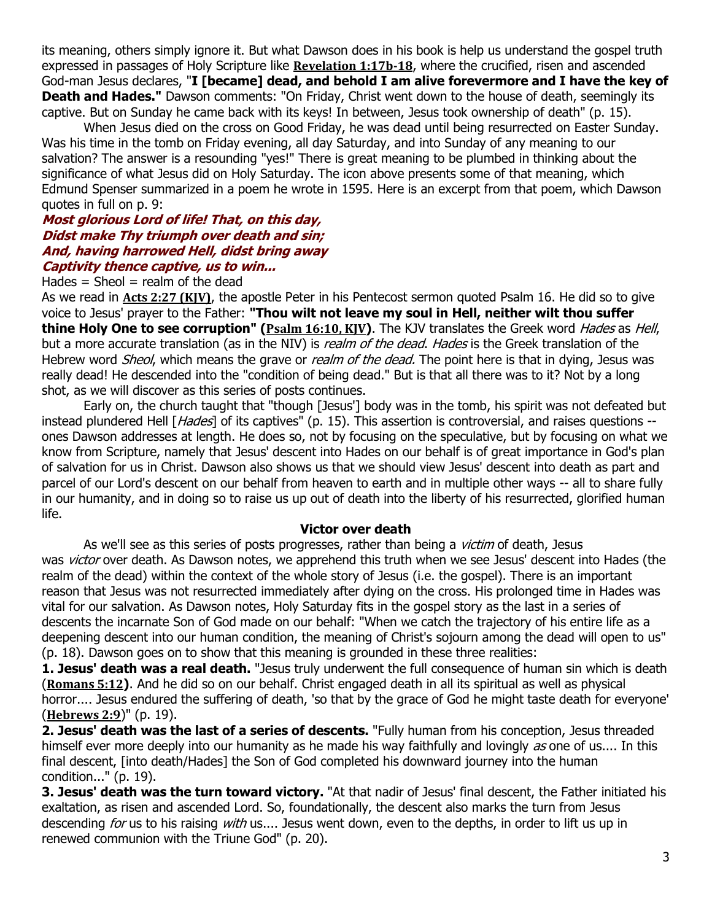its meaning, others simply ignore it. But what Dawson does in his book is help us understand the gospel truth expressed in passages of Holy Scripture like **[Revelation 1:17b-18](https://biblia.com/bible/niv/Rev%201.17b-18)**, where the crucified, risen and ascended God-man Jesus declares, "**I [became] dead, and behold I am alive forevermore and I have the key of Death and Hades."** Dawson comments: "On Friday, Christ went down to the house of death, seemingly its captive. But on Sunday he came back with its keys! In between, Jesus took ownership of death" (p. 15).

When Jesus died on the cross on Good Friday, he was dead until being resurrected on Easter Sunday. Was his time in the tomb on Friday evening, all day Saturday, and into Sunday of any meaning to our salvation? The answer is a resounding "yes!" There is great meaning to be plumbed in thinking about the significance of what Jesus did on Holy Saturday. The icon above presents some of that meaning, which Edmund Spenser summarized in a poem he wrote in 1595. Here is an excerpt from that poem, which Dawson quotes in full on p. 9:

#### **Most glorious Lord of life! That, on this day, Didst make Thy triumph over death and sin; And, having harrowed Hell, didst bring away Captivity thence captive, us to win...**

## Hades  $=$  Sheol  $=$  realm of the dead

As we read in **[Acts 2:27 \(KJV\)](https://biblia.com/bible/kjv1900/Acts%202.27)**, the apostle Peter in his Pentecost sermon quoted Psalm 16. He did so to give voice to Jesus' prayer to the Father: **"Thou wilt not leave my soul in Hell, neither wilt thou suffer thine Holy One to see corruption" (***[Psalm 16:10, KJV](https://biblia.com/bible/kjv1900/Ps%2016.10)*). The KJV translates the Greek word Hades as Hell, but a more accurate translation (as in the NIV) is *realm of the dead. Hades* is the Greek translation of the Hebrew word *Sheol*, which means the grave or *realm of the dead*. The point here is that in dying, Jesus was really dead! He descended into the "condition of being dead." But is that all there was to it? Not by a long shot, as we will discover as this series of posts continues.

Early on, the church taught that "though [Jesus'] body was in the tomb, his spirit was not defeated but instead plundered Hell [Hades] of its captives" (p. 15). This assertion is controversial, and raises questions -ones Dawson addresses at length. He does so, not by focusing on the speculative, but by focusing on what we know from Scripture, namely that Jesus' descent into Hades on our behalf is of great importance in God's plan of salvation for us in Christ. Dawson also shows us that we should view Jesus' descent into death as part and parcel of our Lord's descent on our behalf from heaven to earth and in multiple other ways -- all to share fully in our humanity, and in doing so to raise us up out of death into the liberty of his resurrected, glorified human life.

#### **Victor over death**

As we'll see as this series of posts progresses, rather than being a *victim* of death, Jesus was *victor* over death. As Dawson notes, we apprehend this truth when we see Jesus' descent into Hades (the realm of the dead) within the context of the whole story of Jesus (i.e. the gospel). There is an important reason that Jesus was not resurrected immediately after dying on the cross. His prolonged time in Hades was vital for our salvation. As Dawson notes, Holy Saturday fits in the gospel story as the last in a series of descents the incarnate Son of God made on our behalf: "When we catch the trajectory of his entire life as a deepening descent into our human condition, the meaning of Christ's sojourn among the dead will open to us" (p. 18). Dawson goes on to show that this meaning is grounded in these three realities:

1. Jesus' death was a real death. "Jesus truly underwent the full consequence of human sin which is death (**[Romans 5:12](https://biblia.com/bible/niv/Rom%205.12))**. And he did so on our behalf. Christ engaged death in all its spiritual as well as physical horror.... Jesus endured the suffering of death, 'so that by the grace of God he might taste death for everyone' (**[Hebrews 2:9](https://biblia.com/bible/niv/Heb%202.9)**)" (p. 19).

**2. Jesus' death was the last of a series of descents.** "Fully human from his conception, Jesus threaded himself ever more deeply into our humanity as he made his way faithfully and lovingly as one of us.... In this final descent, [into death/Hades] the Son of God completed his downward journey into the human condition..." (p. 19).

**3. Jesus' death was the turn toward victory.** "At that nadir of Jesus' final descent, the Father initiated his exaltation, as risen and ascended Lord. So, foundationally, the descent also marks the turn from Jesus descending for us to his raising with us.... Jesus went down, even to the depths, in order to lift us up in renewed communion with the Triune God" (p. 20).